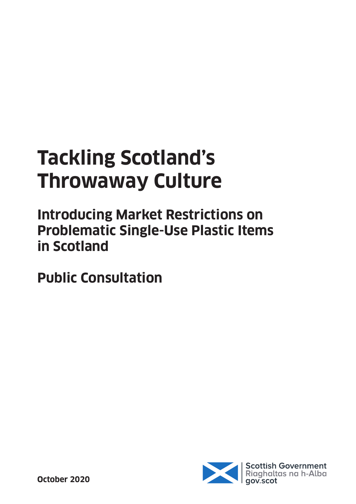# **Tackling Scotland's Throwaway Culture**

**Introducing Market Restrictions on Problematic Single-Use Plastic Items in Scotland**

**Public Consultation**

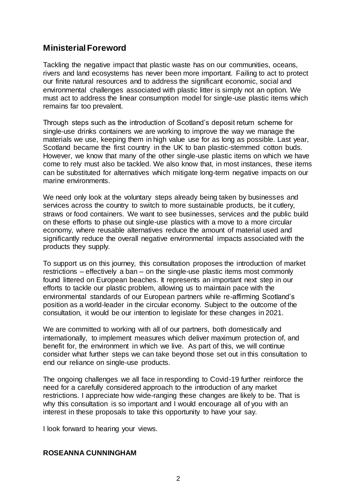## **Ministerial Foreword**

Tackling the negative impact that plastic waste has on our communities, oceans, rivers and land ecosystems has never been more important. Failing to act to protect our finite natural resources and to address the significant economic, social and environmental challenges associated with plastic litter is simply not an option. We must act to address the linear consumption model for single-use plastic items which remains far too prevalent.

Through steps such as the introduction of Scotland's deposit return scheme for single-use drinks containers we are working to improve the way we manage the materials we use, keeping them in high value use for as long as possible. Last year, Scotland became the first country in the UK to ban plastic-stemmed cotton buds. However, we know that many of the other single-use plastic items on which we have come to rely must also be tackled. We also know that, in most instances, these items can be substituted for alternatives which mitigate long-term negative impacts on our marine environments.

We need only look at the voluntary steps already being taken by businesses and services across the country to switch to more sustainable products, be it cutlery, straws or food containers. We want to see businesses, services and the public build on these efforts to phase out single-use plastics with a move to a more circular economy, where reusable alternatives reduce the amount of material used and significantly reduce the overall negative environmental impacts associated with the products they supply.

To support us on this journey, this consultation proposes the introduction of market restrictions – effectively a ban – on the single-use plastic items most commonly found littered on European beaches. It represents an important next step in our efforts to tackle our plastic problem, allowing us to maintain pace with the environmental standards of our European partners while re-affirming Scotland's position as a world-leader in the circular economy. Subject to the outcome of the consultation, it would be our intention to legislate for these changes in 2021.

We are committed to working with all of our partners, both domestically and internationally, to implement measures which deliver maximum protection of, and benefit for, the environment in which we live. As part of this, we will continue consider what further steps we can take beyond those set out in this consultation to end our reliance on single-use products.

The ongoing challenges we all face in responding to Covid-19 further reinforce the need for a carefully considered approach to the introduction of any market restrictions. I appreciate how wide-ranging these changes are likely to be. That is why this consultation is so important and I would encourage all of you with an interest in these proposals to take this opportunity to have your say.

I look forward to hearing your views.

#### **ROSEANNA CUNNINGHAM**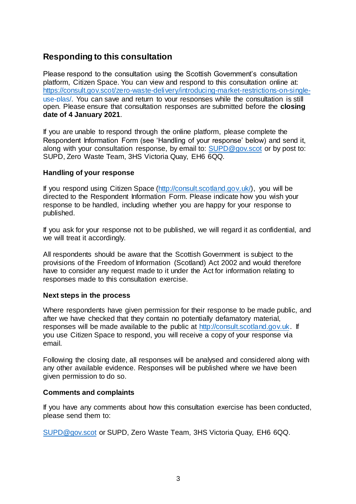## **Responding to this consultation**

Please respond to the consultation using the Scottish Government's consultation platform, Citizen Space. You can view and respond to this consultation online at: [https://consult.gov.scot/zero-waste-delivery/introducing-market-restrictions-on-single](https://consult.gov.scot/zero-waste-delivery/introducing-market-restrictions-on-single-use-plas/)[use-plas/.](https://consult.gov.scot/zero-waste-delivery/introducing-market-restrictions-on-single-use-plas/) You can save and return to your responses while the consultation is still open. Please ensure that consultation responses are submitted before the **closing date of 4 January 2021**.

If you are unable to respond through the online platform, please complete the Respondent Information Form (see 'Handling of your response' below) and send it, along with your consultation response, by email to[: SUPD@gov.scot](mailto:SUPD@gov.scot) or by post to: SUPD, Zero Waste Team, 3HS Victoria Quay, EH6 6QQ.

#### **Handling of your response**

If you respond using Citizen Space (http://consult.scotland.gov.uk/), you will be directed to the Respondent Information Form. Please indicate how you wish your response to be handled, including whether you are happy for your response to published.

If you ask for your response not to be published, we will regard it as confidential, and we will treat it accordingly.

All respondents should be aware that the Scottish Government is subject to the provisions of the Freedom of Information (Scotland) Act 2002 and would therefore have to consider any request made to it under the Act for information relating to responses made to this consultation exercise.

#### **Next steps in the process**

Where respondents have given permission for their response to be made public, and after we have checked that they contain no potentially defamatory material, responses will be made available to the public at http://consult.scotland.gov.uk. If you use Citizen Space to respond, you will receive a copy of your response via email.

Following the closing date, all responses will be analysed and considered along with any other available evidence. Responses will be published where we have been given permission to do so.

#### **Comments and complaints**

If you have any comments about how this consultation exercise has been conducted, please send them to:

[SUPD@gov.scot](mailto:SUPD@gov.scot) or SUPD, Zero Waste Team, 3HS Victoria Quay, EH6 6QQ.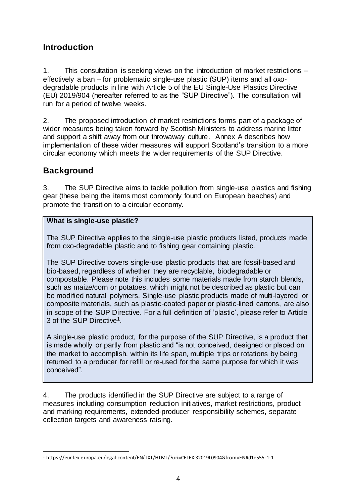## **Introduction**

1. This consultation is seeking views on the introduction of market restrictions – effectively a ban – for problematic single-use plastic (SUP) items and all oxodegradable products in line with Article 5 of the EU Single-Use Plastics Directive (EU) 2019/904 (hereafter referred to as the "SUP Directive"). The consultation will run for a period of twelve weeks.

2. The proposed introduction of market restrictions forms part of a package of wider measures being taken forward by Scottish Ministers to address marine litter and support a shift away from our throwaway culture. Annex A describes how implementation of these wider measures will support Scotland's transition to a more circular economy which meets the wider requirements of the SUP Directive.

## **Background**

3. The SUP Directive aims to tackle pollution from single-use plastics and fishing gear (these being the items most commonly found on European beaches) and promote the transition to a circular economy.

#### **What is single-use plastic?**

The SUP Directive applies to the single-use plastic products listed, products made from oxo-degradable plastic and to fishing gear containing plastic.

The SUP Directive covers single-use plastic products that are fossil-based and bio-based, regardless of whether they are recyclable, biodegradable or compostable. Please note this includes some materials made from starch blends, such as maize/corn or potatoes, which might not be described as plastic but can be modified natural polymers. Single-use plastic products made of multi-layered or composite materials, such as plastic-coated paper or plastic-lined cartons, are also in scope of the SUP Directive. For a full definition of 'plastic', please refer to Article 3 of the SUP Directive<sup>1</sup>.

A single-use plastic product, for the purpose of the SUP Directive, is a product that is made wholly or partly from plastic and "is not conceived, designed or placed on the market to accomplish, within its life span, multiple trips or rotations by being returned to a producer for refill or re-used for the same purpose for which it was conceived".

4. The products identified in the SUP Directive are subject to a range of measures including consumption reduction initiatives, market restrictions, product and marking requirements, extended-producer responsibility schemes, separate collection targets and awareness raising.

 $\overline{a}$ <sup>1</sup> https://eur-lex.europa.eu/legal-content/EN/TXT/HTML/?uri=CELEX:32019L0904&from=EN#d1e555-1-1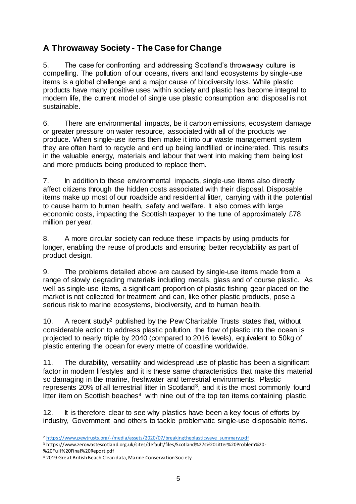## **A Throwaway Society - The Case for Change**

5. The case for confronting and addressing Scotland's throwaway culture is compelling. The pollution of our oceans, rivers and land ecosystems by single-use items is a global challenge and a major cause of biodiversity loss. While plastic products have many positive uses within society and plastic has become integral to modern life, the current model of single use plastic consumption and disposal is not sustainable.

6. There are environmental impacts, be it carbon emissions, ecosystem damage or greater pressure on water resource, associated with all of the products we produce. When single-use items then make it into our waste management system they are often hard to recycle and end up being landfilled or incinerated. This results in the valuable energy, materials and labour that went into making them being lost and more products being produced to replace them.

7. In addition to these environmental impacts, single-use items also directly affect citizens through the hidden costs associated with their disposal. Disposable items make up most of our roadside and residential litter, carrying with it the potential to cause harm to human health, safety and welfare. It also comes with large economic costs, impacting the Scottish taxpayer to the tune of approximately £78 million per year.

8. A more circular society can reduce these impacts by using products for longer, enabling the reuse of products and ensuring better recyclability as part of product design.

9. The problems detailed above are caused by single-use items made from a range of slowly degrading materials including metals, glass and of course plastic. As well as single-use items, a significant proportion of plastic fishing gear placed on the market is not collected for treatment and can, like other plastic products, pose a serious risk to marine ecosystems, biodiversity, and to human health.

10. A recent study<sup>2</sup> published by the Pew Charitable Trusts states that, without considerable action to address plastic pollution, the flow of plastic into the ocean is projected to nearly triple by 2040 (compared to 2016 levels), equivalent to 50kg of plastic entering the ocean for every metre of coastline worldwide.

11. The durability, versatility and widespread use of plastic has been a significant factor in modern lifestyles and it is these same characteristics that make this material so damaging in the marine, freshwater and terrestrial environments. Plastic represents 20% of all terrestrial litter in Scotland<sup>3</sup>, and it is the most commonly found litter item on Scottish beaches<sup>4</sup> with nine out of the top ten items containing plastic.

12. It is therefore clear to see why plastics have been a key focus of efforts by industry, Government and others to tackle problematic single-use disposable items.

%20Full%20Final%20Report.pdf

 $\overline{a}$ <sup>2</sup> [https://www.pewtrusts.org/-/media/assets/2020/07/breakingtheplasticwave\\_summary.pdf](https://www.pewtrusts.org/-/media/assets/2020/07/breakingtheplasticwave_summary.pdf)

<sup>3</sup> https://www.zerowastescotland.org.uk/sites/default/files/Scotland%27s%20Litter%20Problem%20-

<sup>4</sup> 2019 Great British Beach Clean data, Marine Conservation Society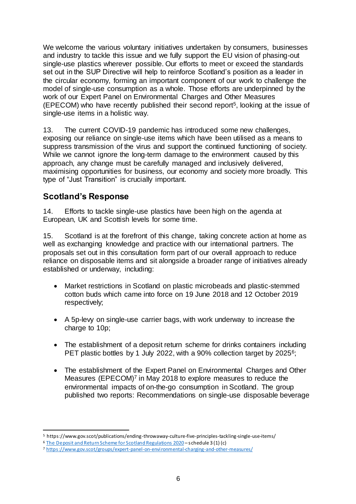We welcome the various voluntary initiatives undertaken by consumers, businesses and industry to tackle this issue and we fully support the EU vision of phasing-out single-use plastics wherever possible. Our efforts to meet or exceed the standards set out in the SUP Directive will help to reinforce Scotland's position as a leader in the circular economy, forming an important component of our work to challenge the model of single-use consumption as a whole. Those efforts are underpinned by the work of our Expert Panel on Environmental Charges and Other Measures (EPECOM) who have recently published their second report<sup>5</sup> , looking at the issue of single-use items in a holistic way.

13. The current COVID-19 pandemic has introduced some new challenges, exposing our reliance on single-use items which have been utilised as a means to suppress transmission of the virus and support the continued functioning of society. While we cannot ignore the long-term damage to the environment caused by this approach, any change must be carefully managed and inclusively delivered, maximising opportunities for business, our economy and society more broadly. This type of "Just Transition" is crucially important.

## **Scotland's Response**

14. Efforts to tackle single-use plastics have been high on the agenda at European, UK and Scottish levels for some time.

15. Scotland is at the forefront of this change, taking concrete action at home as well as exchanging knowledge and practice with our international partners. The proposals set out in this consultation form part of our overall approach to reduce reliance on disposable items and sit alongside a broader range of initiatives already established or underway, including:

- Market restrictions in Scotland on plastic microbeads and plastic-stemmed cotton buds which came into force on 19 June 2018 and 12 October 2019 respectively;
- A 5p-levy on single-use carrier bags, with work underway to increase the charge to 10p;
- The establishment of a deposit return scheme for drinks containers including PET plastic bottles by 1 July 2022, with a 90% collection target by 2025<sup>6</sup>;
- The establishment of the Expert Panel on Environmental Charges and Other Measures (EPECOM)<sup>7</sup> in May 2018 to explore measures to reduce the environmental impacts of on-the-go consumption in Scotland. The group published two reports: Recommendations on single-use disposable beverage

 $\overline{a}$ <sup>5</sup> https://www.gov.scot/publications/ending-throwaway-culture-five-principles-tackling-single-use-items/

<sup>6</sup> [The Deposit and Return Scheme for Scotland Regulations 2020](https://www.legislation.gov.uk/ssi/2020/154/contents/made) – schedule 3 (1) (c)

<sup>7</sup> <https://www.gov.scot/groups/expert-panel-on-environmental-charging-and-other-measures/>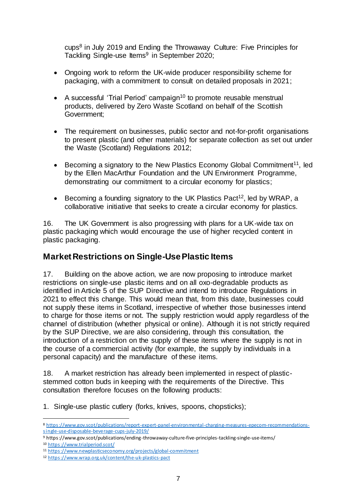cups<sup>8</sup> in July 2019 and Ending the Throwaway Culture: Five Principles for Tackling Single-use Items<sup>9</sup> in September 2020;

- Ongoing work to reform the UK-wide producer responsibility scheme for packaging, with a commitment to consult on detailed proposals in 2021;
- A successful 'Trial Period' campaign<sup>10</sup> to promote reusable menstrual products, delivered by Zero Waste Scotland on behalf of the Scottish Government;
- The requirement on businesses, public sector and not-for-profit organisations to present plastic (and other materials) for separate collection as set out under the Waste (Scotland) Regulations 2012;
- **Becoming a signatory to the New Plastics Economy Global Commitment**<sup>11</sup>, led by the Ellen MacArthur Foundation and the UN Environment Programme, demonstrating our commitment to a circular economy for plastics;
- **Becoming a founding signatory to the UK Plastics Pact<sup>12</sup>, led by WRAP, a** collaborative initiative that seeks to create a circular economy for plastics.

16. The UK Government is also progressing with plans for a UK-wide tax on plastic packaging which would encourage the use of higher recycled content in plastic packaging.

## **Market Restrictions on Single-Use Plastic Items**

17. Building on the above action, we are now proposing to introduce market restrictions on single-use plastic items and on all oxo-degradable products as identified in Article 5 of the SUP Directive and intend to introduce Regulations in 2021 to effect this change. This would mean that, from this date, businesses could not supply these items in Scotland, irrespective of whether those businesses intend to charge for those items or not. The supply restriction would apply regardless of the channel of distribution (whether physical or online). Although it is not strictly required by the SUP Directive, we are also considering, through this consultation, the introduction of a restriction on the supply of these items where the supply is not in the course of a commercial activity (for example, the supply by individuals in a personal capacity) and the manufacture of these items.

18. A market restriction has already been implemented in respect of plasticstemmed cotton buds in keeping with the requirements of the Directive. This consultation therefore focuses on the following products:

1. Single-use plastic cutlery (forks, knives, spoons, chopsticks);

 $\overline{a}$ 

<sup>8</sup> [https://www.gov.scot/publications/report-expert-panel-environmental-charging-measures-epecom-recommendations](https://www.gov.scot/publications/report-expert-panel-environmental-charging-measures-epecom-recommendations-single-use-disposable-beverage-cups-july-2019/)[single-use-disposable-beverage-cups-july-2019/](https://www.gov.scot/publications/report-expert-panel-environmental-charging-measures-epecom-recommendations-single-use-disposable-beverage-cups-july-2019/)

<sup>9</sup> https://www.gov.scot/publications/ending-throwaway-culture-five-principles-tackling-single-use-items/

<sup>10</sup> <https://www.trialperiod.scot/>

<sup>11</sup> <https://www.newplasticseconomy.org/projects/global-commitment>

<sup>12</sup> <https://www.wrap.org.uk/content/the-uk-plastics-pact>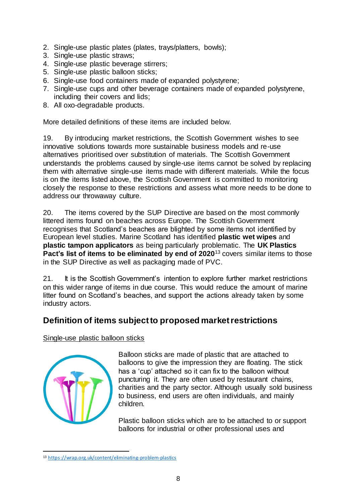- 2. Single-use plastic plates (plates, trays/platters, bowls);
- 3. Single-use plastic straws;
- 4. Single-use plastic beverage stirrers;
- 5. Single-use plastic balloon sticks;
- 6. Single-use food containers made of expanded polystyrene;
- 7. Single-use cups and other beverage containers made of expanded polystyrene, including their covers and lids;
- 8. All oxo-degradable products.

More detailed definitions of these items are included below.

19. By introducing market restrictions, the Scottish Government wishes to see innovative solutions towards more sustainable business models and re-use alternatives prioritised over substitution of materials. The Scottish Government understands the problems caused by single-use items cannot be solved by replacing them with alternative single-use items made with different materials. While the focus is on the items listed above, the Scottish Government is committed to monitoring closely the response to these restrictions and assess what more needs to be done to address our throwaway culture.

20. The items covered by the SUP Directive are based on the most commonly littered items found on beaches across Europe. The Scottish Government recognises that Scotland's beaches are blighted by some items not identified by European level studies. Marine Scotland has identified **plastic wet wipes** and **plastic tampon applicators** as being particularly problematic. The **UK Plastics Pact's list of items to be eliminated by end of 2020<sup>13</sup> covers similar items to those** in the SUP Directive as well as packaging made of PVC.

21. It is the Scottish Government's intention to explore further market restrictions on this wider range of items in due course. This would reduce the amount of marine litter found on Scotland's beaches, and support the actions already taken by some industry actors.

## **Definition of items subject to proposed market restrictions**

Single-use plastic balloon sticks



 $\overline{a}$ 

Balloon sticks are made of plastic that are attached to balloons to give the impression they are floating. The stick has a 'cup' attached so it can fix to the balloon without puncturing it. They are often used by restaurant chains, charities and the party sector. Although usually sold business to business, end users are often individuals, and mainly children.

Plastic balloon sticks which are to be attached to or support balloons for industrial or other professional uses and

<sup>13</sup> <https://wrap.org.uk/content/eliminating-problem-plastics>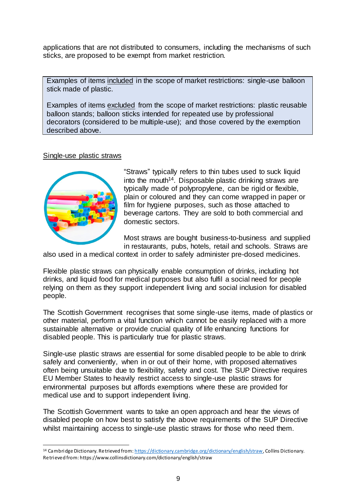applications that are not distributed to consumers, including the mechanisms of such sticks, are proposed to be exempt from market restriction.

Examples of items included in the scope of market restrictions: single-use balloon stick made of plastic.

Examples of items excluded from the scope of market restrictions: plastic reusable balloon stands; balloon sticks intended for repeated use by professional decorators (considered to be multiple-use); and those covered by the exemption described above.

#### Single-use plastic straws



"Straws" typically refers to thin tubes used to suck liquid into the mouth<sup>14</sup>. Disposable plastic drinking straws are typically made of polypropylene, can be rigid or flexible, plain or coloured and they can come wrapped in paper or film for hygiene purposes, such as those attached to beverage cartons. They are sold to both commercial and domestic sectors.

Most straws are bought business-to-business and supplied in restaurants, pubs, hotels, retail and schools. Straws are

also used in a medical context in order to safely administer pre-dosed medicines.

Flexible plastic straws can physically enable consumption of drinks, including hot drinks, and liquid food for medical purposes but also fulfil a social need for people relying on them as they support independent living and social inclusion for disabled people.

The Scottish Government recognises that some single-use items, made of plastics or other material, perform a vital function which cannot be easily replaced with a more sustainable alternative or provide crucial quality of life enhancing functions for disabled people. This is particularly true for plastic straws.

Single-use plastic straws are essential for some disabled people to be able to drink safely and conveniently, when in or out of their home, with proposed alternatives often being unsuitable due to flexibility, safety and cost. The SUP Directive requires EU Member States to heavily restrict access to single-use plastic straws for environmental purposes but affords exemptions where these are provided for medical use and to support independent living.

The Scottish Government wants to take an open approach and hear the views of disabled people on how best to satisfy the above requirements of the SUP Directive whilst maintaining access to single-use plastic straws for those who need them.

 $\overline{a}$ 14 Cambridge Dictionary. Retrieved from[: https://dictionary.cambridge.org/dictionary/english/straw](https://dictionary.cambridge.org/dictionary/english/straw), Collins Dictionary. Retrieved from: https://www.collinsdictionary.com/dictionary/english/straw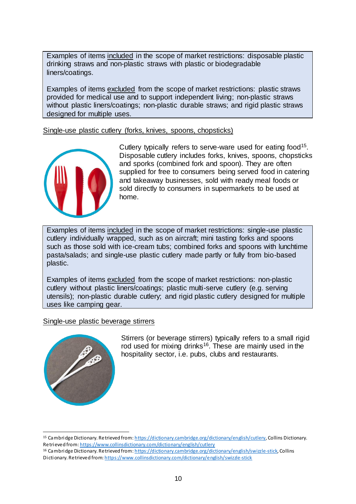Examples of items included in the scope of market restrictions: disposable plastic drinking straws and non-plastic straws with plastic or biodegradable liners/coatings.

Examples of items excluded from the scope of market restrictions: plastic straws provided for medical use and to support independent living; non-plastic straws without plastic liners/coatings; non-plastic durable straws; and rigid plastic straws designed for multiple uses.

Single-use plastic cutlery (forks, knives, spoons, chopsticks)



Cutlery typically refers to serve-ware used for eating food<sup>15</sup>. Disposable cutlery includes forks, knives, spoons, chopsticks and sporks (combined fork and spoon). They are often supplied for free to consumers being served food in catering and takeaway businesses, sold with ready meal foods or sold directly to consumers in supermarkets to be used at home.

Examples of items included in the scope of market restrictions: single-use plastic cutlery individually wrapped, such as on aircraft; mini tasting forks and spoons such as those sold with ice-cream tubs; combined forks and spoons with lunchtime pasta/salads; and single-use plastic cutlery made partly or fully from bio-based plastic.

Examples of items excluded from the scope of market restrictions: non-plastic cutlery without plastic liners/coatings; plastic multi-serve cutlery (e.g. serving utensils); non-plastic durable cutlery; and rigid plastic cutlery designed for multiple uses like camping gear.

#### Single-use plastic beverage stirrers



Stirrers (or beverage stirrers) typically refers to a small rigid rod used for mixing drinks<sup>16</sup>. These are mainly used in the hospitality sector, i.e. pubs, clubs and restaurants.

 $\overline{a}$ <sup>15</sup> Cambridge Dictionary. Retrieved from[: https://dictionary.cambridge.org/dictionary/english/cutlery](https://dictionary.cambridge.org/dictionary/english/cutlery), Collins Dictionary. Retrieved fro[m: https://www.collinsdictionary.com/dictionary/english/cutlery](https://www.collinsdictionary.com/dictionary/english/cutlery)

<sup>16</sup> Cambridge Dictionary. Retrieved from[: https://dictionary.cambridge.org/dictionary/english/swizzle-stick](https://dictionary.cambridge.org/dictionary/english/swizzle-stick), Collins Dictionary. Retrieved fro[m: https://www.collinsdictionary.com/dictionary/english/swizzle-stick](https://www.collinsdictionary.com/dictionary/english/swizzle-stick)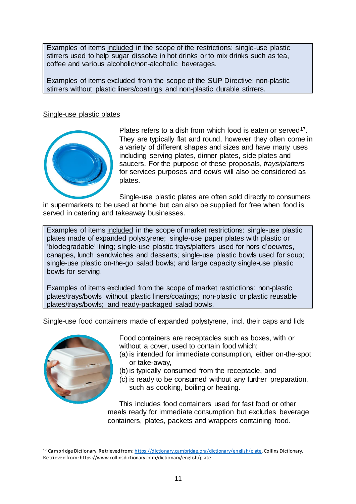Examples of items included in the scope of the restrictions: single-use plastic stirrers used to help sugar dissolve in hot drinks or to mix drinks such as tea, coffee and various alcoholic/non-alcoholic beverages.

Examples of items excluded from the scope of the SUP Directive: non-plastic stirrers without plastic liners/coatings and non-plastic durable stirrers.

#### Single-use plastic plates



Plates refers to a dish from which food is eaten or served<sup>17</sup>. They are typically flat and round, however they often come in a variety of different shapes and sizes and have many uses including serving plates, dinner plates, side plates and saucers. For the purpose of these proposals, *trays/platters* for services purposes and *bowls* will also be considered as plates.

Single-use plastic plates are often sold directly to consumers in supermarkets to be used at home but can also be supplied for free when food is served in catering and takeaway businesses.

Examples of items included in the scope of market restrictions: single-use plastic plates made of expanded polystyrene; single-use paper plates with plastic or 'biodegradable' lining; single-use plastic trays/platters used for hors d'oeuvres, canapes, lunch sandwiches and desserts; single-use plastic bowls used for soup; single-use plastic on-the-go salad bowls; and large capacity single-use plastic bowls for serving.

Examples of items excluded from the scope of market restrictions: non-plastic plates/trays/bowls without plastic liners/coatings; non-plastic or plastic reusable plates/trays/bowls; and ready-packaged salad bowls.

Single-use food containers made of expanded polystyrene, incl. their caps and lids



Food containers are receptacles such as boxes, with or without a cover, used to contain food which:

- (a) is intended for immediate consumption, either on-the-spot or take-away,
- (b) is typically consumed from the receptacle, and
- (c) is ready to be consumed without any further preparation, such as cooking, boiling or heating.

This includes food containers used for fast food or other meals ready for immediate consumption but excludes beverage containers, plates, packets and wrappers containing food.

 $\overline{a}$ <sup>17</sup> Cambridge Dictionary. Retrieved from: <u>https://dictionary.cambridge.org/dictionary/english/plate</u>, Collins Dictionary. Retrieved from: https://www.collinsdictionary.com/dictionary/english/plate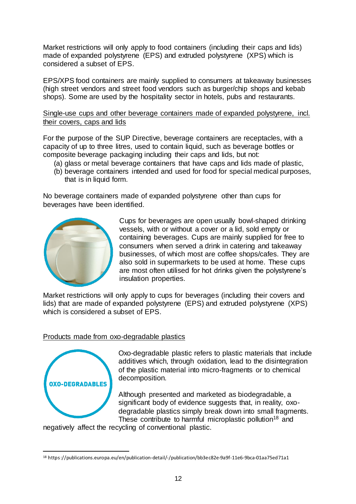Market restrictions will only apply to food containers (including their caps and lids) made of expanded polystyrene (EPS) and extruded polystyrene (XPS) which is considered a subset of EPS.

EPS/XPS food containers are mainly supplied to consumers at takeaway businesses (high street vendors and street food vendors such as burger/chip shops and kebab shops). Some are used by the hospitality sector in hotels, pubs and restaurants.

Single-use cups and other beverage containers made of expanded polystyrene, incl. their covers, caps and lids

For the purpose of the SUP Directive, beverage containers are receptacles, with a capacity of up to three litres, used to contain liquid, such as beverage bottles or composite beverage packaging including their caps and lids, but not:

- (a) glass or metal beverage containers that have caps and lids made of plastic,
- (b) beverage containers intended and used for food for special medical purposes, that is in liquid form.

No beverage containers made of expanded polystyrene other than cups for beverages have been identified.



Cups for beverages are open usually bowl-shaped drinking vessels, with or without a cover or a lid, sold empty or containing beverages. Cups are mainly supplied for free to consumers when served a drink in catering and takeaway businesses, of which most are coffee shops/cafes. They are also sold in supermarkets to be used at home. These cups are most often utilised for hot drinks given the polystyrene's insulation properties.

Market restrictions will only apply to cups for beverages (including their covers and lids) that are made of expanded polystyrene (EPS) and extruded polystyrene (XPS) which is considered a subset of EPS.

#### Products made from oxo-degradable plastics



 $\overline{a}$ 

Oxo-degradable plastic refers to plastic materials that include additives which, through oxidation, lead to the disintegration of the plastic material into micro-fragments or to chemical decomposition.

Although presented and marketed as biodegradable, a significant body of evidence suggests that, in reality, oxodegradable plastics simply break down into small fragments. These contribute to harmful microplastic pollution<sup>18</sup> and

negatively affect the recycling of conventional plastic.

<sup>18</sup> https://publications.europa.eu/en/publication-detail/-/publication/bb3ec82e-9a9f-11e6-9bca-01aa75ed71a1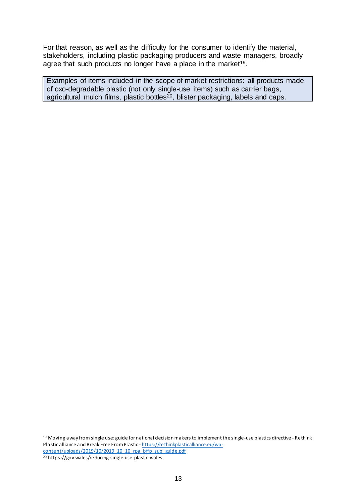For that reason, as well as the difficulty for the consumer to identify the material, stakeholders, including plastic packaging producers and waste managers, broadly agree that such products no longer have a place in the market<sup>19</sup>.

Examples of items included in the scope of market restrictions: all products made of oxo-degradable plastic (not only single-use items) such as carrier bags, agricultural mulch films, plastic bottles<sup>20</sup>, blister packaging, labels and caps.

<sup>19</sup> Moving away from single use: guide for national decision makers to implement the single-use plastics directive - Rethink Plastic alliance and [Break Free From Plastic](https://www.breakfreefromplastic.org/) - [https://rethinkplasticalliance.eu/wp](https://rethinkplasticalliance.eu/wp-content/uploads/2019/10/2019_10_10_rpa_bffp_sup_guide.pdf)[content/uploads/2019/10/2019\\_10\\_10\\_rpa\\_bffp\\_sup\\_guide.pdf](https://rethinkplasticalliance.eu/wp-content/uploads/2019/10/2019_10_10_rpa_bffp_sup_guide.pdf)

<sup>20</sup> https://gov.wales/reducing-single-use-plastic-wales

 $\overline{a}$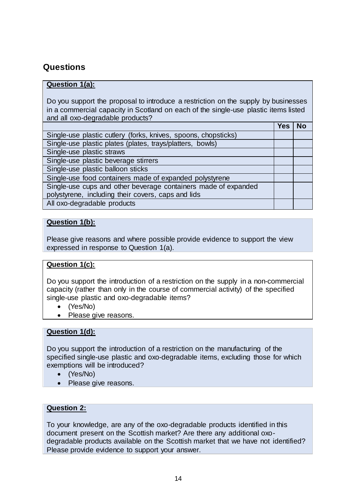## **Questions**

#### **Question 1(a):**

Do you support the proposal to introduce a restriction on the supply by businesses in a commercial capacity in Scotland on each of the single-use plastic items listed and all oxo-degradable products?

|                                                                | Yes | Nο |
|----------------------------------------------------------------|-----|----|
| Single-use plastic cutlery (forks, knives, spoons, chopsticks) |     |    |
| Single-use plastic plates (plates, trays/platters, bowls)      |     |    |
| Single-use plastic straws                                      |     |    |
| Single-use plastic beverage stirrers                           |     |    |
| Single-use plastic balloon sticks                              |     |    |
| Single-use food containers made of expanded polystyrene        |     |    |
| Single-use cups and other beverage containers made of expanded |     |    |
| polystyrene, including their covers, caps and lids             |     |    |
| All oxo-degradable products                                    |     |    |
|                                                                |     |    |

#### **Question 1(b):**

Please give reasons and where possible provide evidence to support the view expressed in response to Question 1(a).

#### **Question 1(c):**

Do you support the introduction of a restriction on the supply in a non-commercial capacity (rather than only in the course of commercial activity) of the specified single-use plastic and oxo-degradable items?

- (Yes/No)
- Please give reasons.

#### **Question 1(d):**

Do you support the introduction of a restriction on the manufacturing of the specified single-use plastic and oxo-degradable items, excluding those for which exemptions will be introduced?

- (Yes/No)
- Please give reasons.

#### **Question 2:**

To your knowledge, are any of the oxo-degradable products identified in this document present on the Scottish market? Are there any additional oxodegradable products available on the Scottish market that we have not identified? Please provide evidence to support your answer.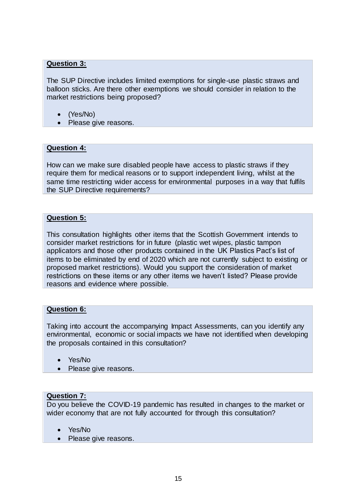#### **Question 3:**

The SUP Directive includes limited exemptions for single-use plastic straws and balloon sticks. Are there other exemptions we should consider in relation to the market restrictions being proposed?

- (Yes/No)
- Please give reasons.

#### **Question 4:**

How can we make sure disabled people have access to plastic straws if they require them for medical reasons or to support independent living, whilst at the same time restricting wider access for environmental purposes in a way that fulfils the SUP Directive requirements?

#### **Question 5:**

This consultation highlights other items that the Scottish Government intends to consider market restrictions for in future (plastic wet wipes, plastic tampon applicators and those other products contained in the UK Plastics Pact's list of items to be eliminated by end of 2020 which are not currently subject to existing or proposed market restrictions). Would you support the consideration of market restrictions on these items or any other items we haven't listed? Please provide reasons and evidence where possible.

#### **Question 6:**

Taking into account the accompanying Impact Assessments, can you identify any environmental, economic or social impacts we have not identified when developing the proposals contained in this consultation?

- Yes/No
- Please give reasons.

#### **Question 7:**

Do you believe the COVID-19 pandemic has resulted in changes to the market or wider economy that are not fully accounted for through this consultation?

- Yes/No
- Please give reasons.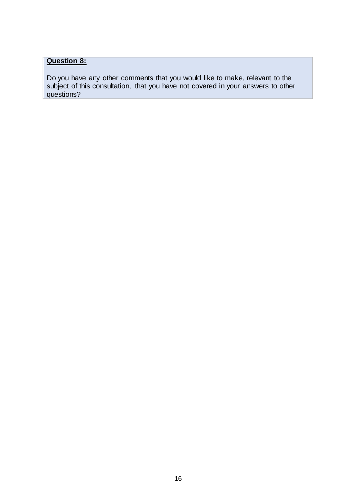## **Question 8:**

Do you have any other comments that you would like to make, relevant to the subject of this consultation, that you have not covered in your answers to other questions?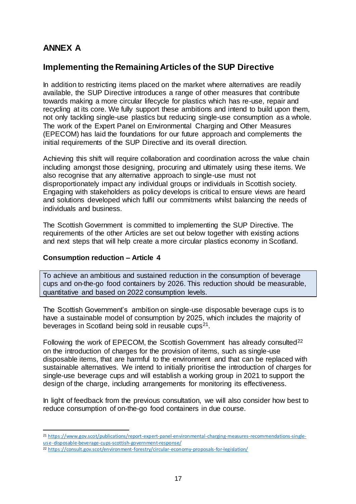## **ANNEX A**

## **Implementing the Remaining Articles of the SUP Directive**

In addition to restricting items placed on the market where alternatives are readily available, the SUP Directive introduces a range of other measures that contribute towards making a more circular lifecycle for plastics which has re-use, repair and recycling at its core. We fully support these ambitions and intend to build upon them, not only tackling single-use plastics but reducing single-use consumption as a whole. The work of the Expert Panel on Environmental Charging and Other Measures (EPECOM) has laid the foundations for our future approach and complements the initial requirements of the SUP Directive and its overall direction.

Achieving this shift will require collaboration and coordination across the value chain including amongst those designing, procuring and ultimately using these items. We also recognise that any alternative approach to single-use must not disproportionately impact any individual groups or individuals in Scottish society. Engaging with stakeholders as policy develops is critical to ensure views are heard and solutions developed which fulfil our commitments whilst balancing the needs of individuals and business.

The Scottish Government is committed to implementing the SUP Directive. The requirements of the other Articles are set out below together with existing actions and next steps that will help create a more circular plastics economy in Scotland.

#### **Consumption reduction – Article 4**

 $\overline{a}$ 

To achieve an ambitious and sustained reduction in the consumption of beverage cups and on-the-go food containers by 2026. This reduction should be measurable, quantitative and based on 2022 consumption levels.

The Scottish Government's ambition on single-use disposable beverage cups is to have a sustainable model of consumption by 2025, which includes the majority of beverages in Scotland being sold in reusable cups<sup>21</sup>.

Following the work of EPECOM, the Scottish Government has already consulted<sup>22</sup> on the introduction of charges for the provision of items, such as single-use disposable items, that are harmful to the environment and that can be replaced with sustainable alternatives. We intend to initially prioritise the introduction of charges for single-use beverage cups and will establish a working group in 2021 to support the design of the charge, including arrangements for monitoring its effectiveness.

In light of feedback from the previous consultation, we will also consider how best to reduce consumption of on-the-go food containers in due course.

<sup>21</sup> [https://www.gov.scot/publications/report-expert-panel-environmental-charging-measures-recommendations-single](https://www.gov.scot/publications/report-expert-panel-environmental-charging-measures-recommendations-single-use-disposable-beverage-cups-scottish-government-response/)[use-disposable-beverage-cups-scottish-government-response/](https://www.gov.scot/publications/report-expert-panel-environmental-charging-measures-recommendations-single-use-disposable-beverage-cups-scottish-government-response/)

<sup>22</sup> <https://consult.gov.scot/environment-forestry/circular-economy-proposals-for-legislation/>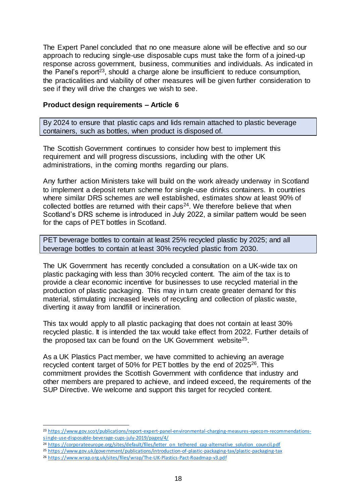The Expert Panel concluded that no one measure alone will be effective and so our approach to reducing single-use disposable cups must take the form of a joined-up response across government, business, communities and individuals. As indicated in the Panel's report<sup>23</sup>, should a charge alone be insufficient to reduce consumption, the practicalities and viability of other measures will be given further consideration to see if they will drive the changes we wish to see.

#### **Product design requirements – Article 6**

By 2024 to ensure that plastic caps and lids remain attached to plastic beverage containers, such as bottles, when product is disposed of.

The Scottish Government continues to consider how best to implement this requirement and will progress discussions, including with the other UK administrations, in the coming months regarding our plans.

Any further action Ministers take will build on the work already underway in Scotland to implement a deposit return scheme for single-use drinks containers. In countries where similar DRS schemes are well established, estimates show at least 90% of collected bottles are returned with their caps<sup>24</sup>. We therefore believe that when Scotland's DRS scheme is introduced in July 2022, a similar pattern would be seen for the caps of PET bottles in Scotland.

PET beverage bottles to contain at least 25% recycled plastic by 2025; and all beverage bottles to contain at least 30% recycled plastic from 2030.

The UK Government has recently concluded a consultation on a UK-wide tax on plastic packaging with less than 30% recycled content. The aim of the tax is to provide a clear economic incentive for businesses to use recycled material in the production of plastic packaging. This may in turn create greater demand for this material, stimulating increased levels of recycling and collection of plastic waste, diverting it away from landfill or incineration.

This tax would apply to all plastic packaging that does not contain at least 30% recycled plastic. It is intended the tax would take effect from 2022. Further details of the proposed tax can be found on the UK Government website<sup>25</sup>.

As a UK Plastics Pact member, we have committed to achieving an average recycled content target of 50% for PET bottles by the end of 2025<sup>26</sup>. This commitment provides the Scottish Government with confidence that industry and other members are prepared to achieve, and indeed exceed, the requirements of the SUP Directive. We welcome and support this target for recycled content.

l

<sup>23</sup> [https://www.gov.scot/publications/report-expert-panel-environmental-charging-measures-epecom-recommendations](https://www.gov.scot/publications/report-expert-panel-environmental-charging-measures-epecom-recommendations-single-use-disposable-beverage-cups-july-2019/pages/4/)[single-use-disposable-beverage-cups-july-2019/pages/4/](https://www.gov.scot/publications/report-expert-panel-environmental-charging-measures-epecom-recommendations-single-use-disposable-beverage-cups-july-2019/pages/4/)

<sup>&</sup>lt;sup>24</sup> [https://corporateeurope.org/sites/default/files/letter\\_on\\_tethered\\_cap-alternative\\_solution\\_council.pdf](https://corporateeurope.org/sites/default/files/letter_on_tethered_cap-alternative_solution_council.pdf)

<sup>25</sup> <https://www.gov.uk/government/publications/introduction-of-plastic-packaging-tax/plastic-packaging-tax>

<sup>26</sup> <https://www.wrap.org.uk/sites/files/wrap/The-UK-Plastics-Pact-Roadmap-v3.pdf>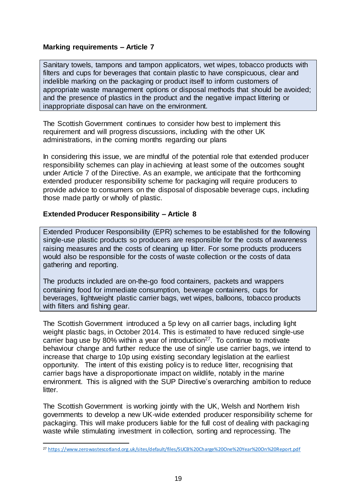#### **Marking requirements – Article 7**

Sanitary towels, tampons and tampon applicators, wet wipes, tobacco products with filters and cups for beverages that contain plastic to have conspicuous, clear and indelible marking on the packaging or product itself to inform customers of appropriate waste management options or disposal methods that should be avoided; and the presence of plastics in the product and the negative impact littering or inappropriate disposal can have on the environment.

The Scottish Government continues to consider how best to implement this requirement and will progress discussions, including with the other UK administrations, in the coming months regarding our plans

In considering this issue, we are mindful of the potential role that extended producer responsibility schemes can play in achieving at least some of the outcomes sought under Article 7 of the Directive. As an example, we anticipate that the forthcoming extended producer responsibility scheme for packaging will require producers to provide advice to consumers on the disposal of disposable beverage cups, including those made partly or wholly of plastic.

#### **Extended Producer Responsibility – Article 8**

Extended Producer Responsibility (EPR) schemes to be established for the following single-use plastic products so producers are responsible for the costs of awareness raising measures and the costs of cleaning up litter. For some products producers would also be responsible for the costs of waste collection or the costs of data gathering and reporting.

The products included are on-the-go food containers, packets and wrappers containing food for immediate consumption, beverage containers, cups for beverages, lightweight plastic carrier bags, wet wipes, balloons, tobacco products with filters and fishing gear.

The Scottish Government introduced a 5p levy on all carrier bags, including light weight plastic bags, in October 2014. This is estimated to have reduced single-use carrier bag use by 80% within a year of introduction<sup>27</sup>. To continue to motivate behaviour change and further reduce the use of single use carrier bags, we intend to increase that charge to 10p using existing secondary legislation at the earliest opportunity. The intent of this existing policy is to reduce litter, recognising that carrier bags have a disproportionate impact on wildlife, notably in the marine environment. This is aligned with the SUP Directive's overarching ambition to reduce litter.

The Scottish Government is working jointly with the UK, Welsh and Northern Irish governments to develop a new UK-wide extended producer responsibility scheme for packaging. This will make producers liable for the full cost of dealing with packaging waste while stimulating investment in collection, sorting and reprocessing. The

l <sup>27</sup> <https://www.zerowastescotland.org.uk/sites/default/files/SUCB%20Charge%20One%20Year%20On%20Report.pdf>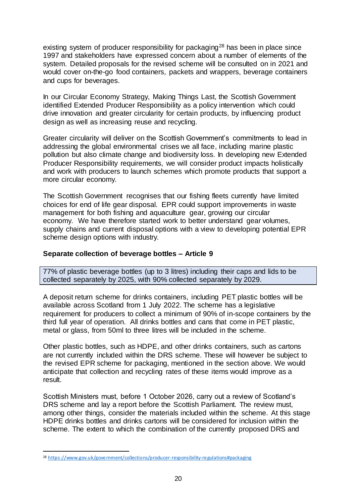existing system of producer responsibility for packaging<sup>28</sup> has been in place since 1997 and stakeholders have expressed concern about a number of elements of the system. Detailed proposals for the revised scheme will be consulted on in 2021 and would cover on-the-go food containers, packets and wrappers, beverage containers and cups for beverages.

In our Circular Economy Strategy, Making Things Last, the Scottish Government identified Extended Producer Responsibility as a policy intervention which could drive innovation and greater circularity for certain products, by influencing product design as well as increasing reuse and recycling.

Greater circularity will deliver on the Scottish Government's commitments to lead in addressing the global environmental crises we all face, including marine plastic pollution but also climate change and biodiversity loss. In developing new Extended Producer Responsibility requirements, we will consider product impacts holistically and work with producers to launch schemes which promote products that support a more circular economy.

The Scottish Government recognises that our fishing fleets currently have limited choices for end of life gear disposal. EPR could support improvements in waste management for both fishing and aquaculture gear, growing our circular economy. We have therefore started work to better understand gear volumes, supply chains and current disposal options with a view to developing potential EPR scheme design options with industry.

#### **Separate collection of beverage bottles – Article 9**

77% of plastic beverage bottles (up to 3 litres) including their caps and lids to be collected separately by 2025, with 90% collected separately by 2029.

A deposit return scheme for drinks containers, including PET plastic bottles will be available across Scotland from 1 July 2022. The scheme has a legislative requirement for producers to collect a minimum of 90% of in-scope containers by the third full year of operation. All drinks bottles and cans that come in PET plastic, metal or glass, from 50ml to three litres will be included in the scheme.

Other plastic bottles, such as HDPE, and other drinks containers, such as cartons are not currently included within the DRS scheme. These will however be subject to the revised EPR scheme for packaging, mentioned in the section above. We would anticipate that collection and recycling rates of these items would improve as a result.

Scottish Ministers must, before 1 October 2026, carry out a review of Scotland's DRS scheme and lay a report before the Scottish Parliament. The review must, among other things, consider the materials included within the scheme. At this stage HDPE drinks bottles and drinks cartons will be considered for inclusion within the scheme. The extent to which the combination of the currently proposed DRS and

 $\overline{a}$ 

<sup>28</sup> <https://www.gov.uk/government/collections/producer-responsibility-regulations#packaging>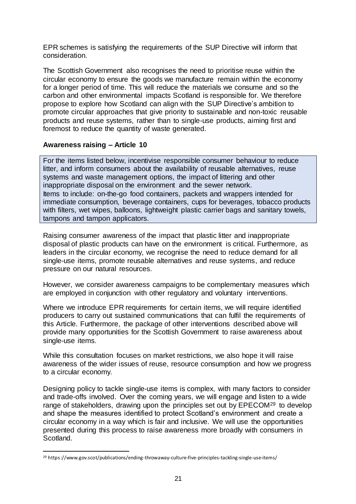EPR schemes is satisfying the requirements of the SUP Directive will inform that consideration.

The Scottish Government also recognises the need to prioritise reuse within the circular economy to ensure the goods we manufacture remain within the economy for a longer period of time. This will reduce the materials we consume and so the carbon and other environmental impacts Scotland is responsible for. We therefore propose to explore how Scotland can align with the SUP Directive's ambition to promote circular approaches that give priority to sustainable and non-toxic reusable products and reuse systems, rather than to single-use products, aiming first and foremost to reduce the quantity of waste generated.

#### **Awareness raising – Article 10**

 $\overline{a}$ 

For the items listed below, incentivise responsible consumer behaviour to reduce litter, and inform consumers about the availability of reusable alternatives, reuse systems and waste management options, the impact of littering and other inappropriate disposal on the environment and the sewer network. Items to include: on-the-go food containers, packets and wrappers intended for immediate consumption, beverage containers, cups for beverages, tobacco products with filters, wet wipes, balloons, lightweight plastic carrier bags and sanitary towels, tampons and tampon applicators.

Raising consumer awareness of the impact that plastic litter and inappropriate disposal of plastic products can have on the environment is critical. Furthermore, as leaders in the circular economy, we recognise the need to reduce demand for all single-use items, promote reusable alternatives and reuse systems, and reduce pressure on our natural resources.

However, we consider awareness campaigns to be complementary measures which are employed in conjunction with other regulatory and voluntary interventions.

Where we introduce EPR requirements for certain items, we will require identified producers to carry out sustained communications that can fulfil the requirements of this Article. Furthermore, the package of other interventions described above will provide many opportunities for the Scottish Government to raise awareness about single-use items.

While this consultation focuses on market restrictions, we also hope it will raise awareness of the wider issues of reuse, resource consumption and how we progress to a circular economy.

Designing policy to tackle single-use items is complex, with many factors to consider and trade-offs involved. Over the coming years, we will engage and listen to a wide range of stakeholders, drawing upon the principles set out by EPECOM<sup>29</sup> to develop and shape the measures identified to protect Scotland's environment and create a circular economy in a way which is fair and inclusive. We will use the opportunities presented during this process to raise awareness more broadly with consumers in Scotland.

<sup>29</sup> https://www.gov.scot/publications/ending-throwaway-culture-five-principles-tackling-single-use-items/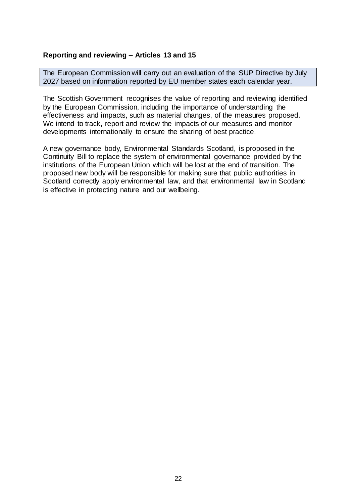#### **Reporting and reviewing – Articles 13 and 15**

The European Commission will carry out an evaluation of the SUP Directive by July 2027 based on information reported by EU member states each calendar year.

The Scottish Government recognises the value of reporting and reviewing identified by the European Commission, including the importance of understanding the effectiveness and impacts, such as material changes, of the measures proposed. We intend to track, report and review the impacts of our measures and monitor developments internationally to ensure the sharing of best practice.

A new governance body, Environmental Standards Scotland, is proposed in the Continuity Bill to replace the system of environmental governance provided by the institutions of the European Union which will be lost at the end of transition. The proposed new body will be responsible for making sure that public authorities in Scotland correctly apply environmental law, and that environmental law in Scotland is effective in protecting nature and our wellbeing.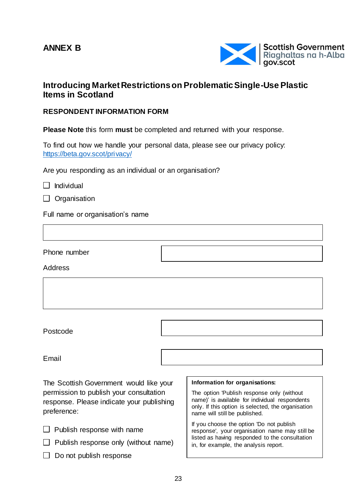## **ANNEX B**



### **Introducing Market Restrictions on Problematic Single-Use Plastic Items in Scotland**

#### **RESPONDENT INFORMATION FORM**

**Please Note** this form **must** be completed and returned with your response.

To find out how we handle your personal data, please see our privacy policy: <https://beta.gov.scot/privacy/>

Are you responding as an individual or an organisation?

 $\Box$  Individual

|  | Organisation |
|--|--------------|
|--|--------------|

Full name or organisation's name

Phone number

Address

Postcode

Email

The Scottish Government would like your permission to publish your consultation response. Please indicate your publishing preference:

- $\Box$  Publish response with name
- $\Box$  Publish response only (without name)
- $\Box$  Do not publish response

#### **Information for organisations:**

The option 'Publish response only (without name)' is available for individual respondents only. If this option is selected, the organisation name will still be published.

If you choose the option 'Do not publish response', your organisation name may still be listed as having responded to the consultation in, for example, the analysis report.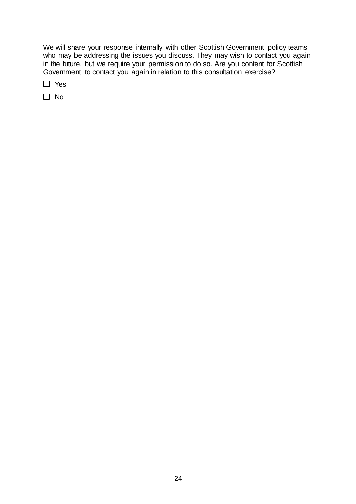We will share your response internally with other Scottish Government policy teams who may be addressing the issues you discuss. They may wish to contact you again in the future, but we require your permission to do so. Are you content for Scottish Government to contact you again in relation to this consultation exercise?

□ Yes

□ No